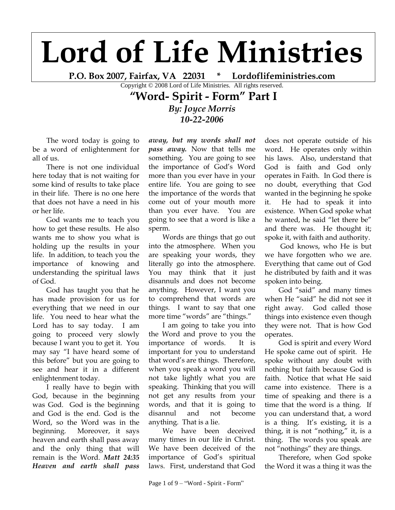## **Lord of Life Ministries**

**P.O. Box 2007, Fairfax, VA 22031 \* Lordoflifeministries.com**

Copyright © 2008 Lord of Life Ministries. All rights reserved.

## **"Word- Spirit - Form" Part I**

*By: Joyce Morris 10-22-2006*

The word today is going to be a word of enlightenment for all of us.

There is not one individual here today that is not waiting for some kind of results to take place in their life. There is no one here that does not have a need in his or her life.

God wants me to teach you how to get these results. He also wants me to show you what is holding up the results in your life. In addition, to teach you the importance of knowing and understanding the spiritual laws of God.

God has taught you that he has made provision for us for everything that we need in our life. You need to hear what the Lord has to say today. I am going to proceed very slowly because I want you to get it. You may say "I have heard some of this before" but you are going to see and hear it in a different enlightenment today.

I really have to begin with God, because in the beginning was God. God is the beginning and God is the end. God is the Word, so the Word was in the beginning. Moreover, it says heaven and earth shall pass away and the only thing that will remain is the Word. *Matt 24:35 Heaven and earth shall pass*

*away, but my words shall not pass away.* Now that tells me something. You are going to see the importance of God's Word more than you ever have in your entire life. You are going to see the importance of the words that come out of your mouth more than you ever have. You are going to see that a word is like a sperm.

Words are things that go out into the atmosphere. When you are speaking your words, they literally go into the atmosphere. You may think that it just disannuls and does not become anything. However, I want you to comprehend that words are things. I want to say that one more time "words" are "things."

I am going to take you into the Word and prove to you the importance of words. It is important for you to understand that word"s are things. Therefore, when you speak a word you will not take lightly what you are speaking. Thinking that you will not get any results from your words, and that it is going to disannul and not become anything. That is a lie.

We have been deceived many times in our life in Christ. We have been deceived of the importance of God"s spiritual laws. First, understand that God

does not operate outside of his word. He operates only within his laws. Also, understand that God is faith and God only operates in Faith. In God there is no doubt, everything that God wanted in the beginning he spoke it. He had to speak it into existence. When God spoke what he wanted, he said "let there be" and there was. He thought it; spoke it, with faith and authority.

God knows, who He is but we have forgotten who we are. Everything that came out of God he distributed by faith and it was spoken into being.

God "said" and many times when He "said" he did not see it right away. God called those things into existence even though they were not. That is how God operates.

God is spirit and every Word He spoke came out of spirit. He spoke without any doubt with nothing but faith because God is faith. Notice that what He said came into existence. There is a time of speaking and there is a time that the word is a thing. If you can understand that, a word is a thing. It's existing, it is a thing, it is not "nothing," it, is a thing. The words you speak are not "nothings" they are things.

Therefore, when God spoke the Word it was a thing it was the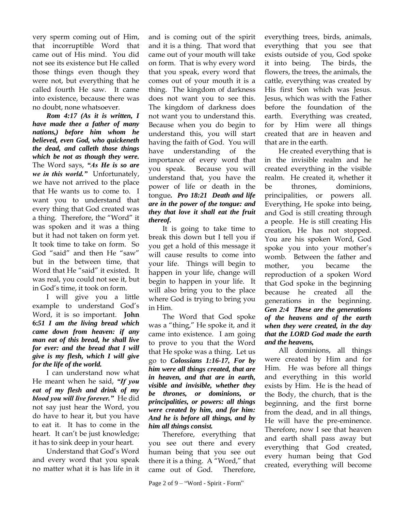very sperm coming out of Him, that incorruptible Word that came out of His mind. You did not see its existence but He called those things even though they were not, but everything that he called fourth He saw. It came into existence, because there was no doubt, none whatsoever.

*Rom 4:17 (As it is written, I have made thee a father of many nations,) before him whom he believed, even God, who quickeneth the dead, and calleth those things which be not as though they were.* The Word says, *"As He is so are we in this world."* Unfortunately, we have not arrived to the place that He wants us to come to. I want you to understand that every thing that God created was a thing. Therefore, the "Word" it was spoken and it was a thing but it had not taken on form yet. It took time to take on form. So God "said" and then He "saw" but in the between time, that Word that He "said" it existed. It was real, you could not see it, but in God"s time, it took on form.

I will give you a little example to understand God"s Word, it is so important. **John 6:***51 I am the living bread which came down from heaven: if any man eat of this bread, he shall live for ever: and the bread that I will give is my flesh, which I will give for the life of the world.* 

I can understand now what He meant when he said, *"If you eat of my flesh and drink of my blood you will live forever."* He did not say just hear the Word, you do have to hear it, but you have to eat it. It has to come in the heart. It can't be just knowledge; it has to sink deep in your heart.

Understand that God"s Word and every word that you speak no matter what it is has life in it

and is coming out of the spirit and it is a thing. That word that came out of your mouth will take on form. That is why every word that you speak, every word that comes out of your mouth it is a thing. The kingdom of darkness does not want you to see this. The kingdom of darkness does not want you to understand this. Because when you do begin to understand this, you will start having the faith of God. You will have understanding of the importance of every word that you speak. Because you will understand that, you have the power of life or death in the tongue*. Pro 18:21 Death and life are in the power of the tongue: and they that love it shall eat the fruit thereof.* 

It is going to take time to break this down but I tell you if you get a hold of this message it will cause results to come into your life. Things will begin to happen in your life, change will begin to happen in your life. It will also bring you to the place where God is trying to bring you in Him.

The Word that God spoke was a "thing," He spoke it, and it came into existence. I am going to prove to you that the Word that He spoke was a thing. Let us go to *Colossians 1:16-17, For by him were all things created, that are in heaven, and that are in earth, visible and invisible, whether they be thrones, or dominions, or principalities, or powers: all things were created by him, and for him: And he is before all things, and by him all things consist.* 

Therefore, everything that you see out there and every human being that you see out there it is a thing. A "Word," that came out of God. Therefore,

everything trees, birds, animals, everything that you see that exists outside of you, God spoke it into being. The birds, the flowers, the trees, the animals, the cattle, everything was created by His first Son which was Jesus. Jesus, which was with the Father before the foundation of the earth. Everything was created, for by Him were all things created that are in heaven and that are in the earth.

He created everything that is in the invisible realm and he created everything in the visible realm. He created it, whether it be thrones, dominions, principalities, or powers all. Everything, He spoke into being, and God is still creating through a people. He is still creating His creation, He has not stopped. You are his spoken Word, God spoke you into your mother"s womb. Between the father and mother, you became the reproduction of a spoken Word that God spoke in the beginning because he created all the generations in the beginning. *Gen 2:4 These are the generations of the heavens and of the earth when they were created, in the day that the LORD God made the earth and the heavens,* 

All dominions, all things were created by Him and for Him. He was before all things and everything in this world exists by Him. He is the head of the Body, the church, that is the beginning, and the first borne from the dead, and in all things, He will have the pre-eminence. Therefore, now I see that heaven and earth shall pass away but everything that God created, every human being that God created, everything will become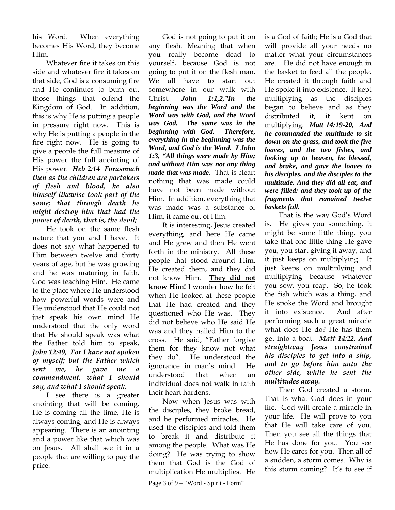his Word. When everything becomes His Word, they become Him.

Whatever fire it takes on this side and whatever fire it takes on that side, God is a consuming fire and He continues to burn out those things that offend the Kingdom of God. In addition, this is why He is putting a people in pressure right now. This is why He is putting a people in the fire right now. He is going to give a people the full measure of His power the full anointing of His power.*Heb 2:14 Forasmuch then as the children are partakers of flesh and blood, he also himself likewise took part of the same; that through death he might destroy him that had the power of death, that is, the devil;* 

He took on the same flesh nature that you and I have. It does not say what happened to Him between twelve and thirty years of age, but he was growing and he was maturing in faith. God was teaching Him. He came to the place where He understood how powerful words were and He understood that He could not just speak his own mind He understood that the only word that He should speak was what the Father told him to speak**.** *John 12:49, For I have not spoken of myself; but the Father which sent me, he gave me a commandment, what I should say, and what I should speak*.

I see there is a greater anointing that will be coming. He is coming all the time, He is always coming, and He is always appearing. There is an anointing and a power like that which was on Jesus. All shall see it in a people that are willing to pay the price.

God is not going to put it on any flesh. Meaning that when you really become dead to yourself, because God is not going to put it on the flesh man. We all have to start out somewhere in our walk with Christ. *John 1:1,2,"In the beginning was the Word and the Word was with God, and the Word was God. The same was in the beginning with God. Therefore, everything in the beginning was the Word, and God is the Word. I John 1:3, "All things were made by Him; and without Him was not any thing made that was made***.** That is clear; nothing that was made could have not been made without Him. In addition, everything that was made was a substance of Him, it came out of Him.

It is interesting, Jesus created everything, and here He came and He grew and then He went forth in the ministry. All these people that stood around Him, He created them, and they did not know Him. **They did not know Him!** I wonder how he felt when He looked at these people that He had created and they questioned who He was. They did not believe who He said He was and they nailed Him to the cross. He said, "Father forgive them for they know not what they do". He understood the ignorance in man"s mind. He understood that when an individual does not walk in faith their heart hardens.

Now when Jesus was with the disciples, they broke bread, and he performed miracles. He used the disciples and told them to break it and distribute it among the people. What was He doing? He was trying to show them that God is the God of multiplication He multiplies. He

Page 3 of 9 – "Word - Spirit - Form"

is a God of faith; He is a God that will provide all your needs no matter what your circumstances are. He did not have enough in the basket to feed all the people. He created it through faith and He spoke it into existence. It kept multiplying as the disciples began to believe and as they distributed it, it kept on multiplying. *Matt 14:19-20, And he commanded the multitude to sit down on the grass, and took the five loaves, and the two fishes, and looking up to heaven, he blessed, and brake, and gave the loaves to his disciples, and the disciples to the multitude. And they did all eat, and were filled: and they took up of the fragments that remained twelve baskets full.* 

That is the way God"s Word is. He gives you something, it might be some little thing, you take that one little thing He gave you, you start giving it away, and it just keeps on multiplying. It just keeps on multiplying and multiplying because whatever you sow, you reap. So, he took the fish which was a thing, and He spoke the Word and brought it into existence. And after performing such a great miracle what does He do? He has them get into a boat. *Matt 14:22, And straightway Jesus constrained his disciples to get into a ship, and to go before him unto the other side, while he sent the multitudes away.* 

Then God created a storm. That is what God does in your life. God will create a miracle in your life. He will prove to you that He will take care of you. Then you see all the things that He has done for you. You see how He cares for you. Then all of a sudden, a storm comes. Why is this storm coming? It's to see if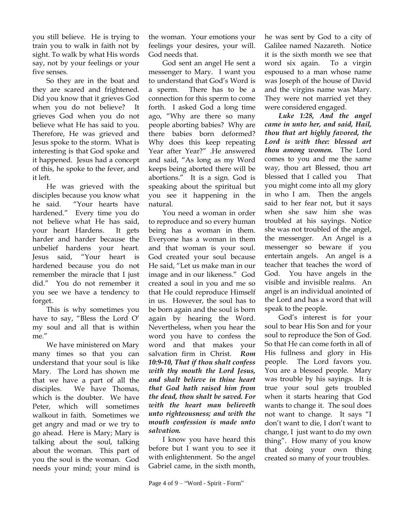you still believe. He is trying to train you to walk in faith not by sight. To walk by what His words say, not by your feelings or your five senses.

So they are in the boat and they are scared and frightened. Did you know that it grieves God when you do not believe? It grieves God when you do not believe what He has said to you. Therefore, He was grieved and Jesus spoke to the storm. What is interesting is that God spoke and it happened. Jesus had a concept of this, he spoke to the fever, and it left.

He was grieved with the disciples because you know what he said. "Your hearts have hardened." Every time you do not believe what He has said, your heart Hardens. It gets harder and harder because the unbelief hardens your heart. Jesus said, "Your heart is hardened because you do not remember the miracle that I just did." You do not remember it you see we have a tendency to forget.

This is why sometimes you have to say, "Bless the Lord O" my soul and all that is within me."

We have ministered on Mary many times so that you can understand that your soul is like Mary. The Lord has shown me that we have a part of all the disciples. We have Thomas, which is the doubter. We have Peter, which will sometimes walkout in faith. Sometimes we get angry and mad or we try to go ahead. Here is Mary; Mary is talking about the soul, talking about the woman. This part of you the soul is the woman. God needs your mind; your mind is

the woman. Your emotions your feelings your desires, your will. God needs that.

God sent an angel He sent a messenger to Mary. I want you to understand that God"s Word is a sperm. There has to be a connection for this sperm to come forth. I asked God a long time ago, "Why are there so many people aborting babies? Why are there babies born deformed? Why does this keep repeating Year after Year?" .He answered and said, "As long as my Word keeps being aborted there will be abortions." It is a sign. God is speaking about the spiritual but you see it happening in the natural.

You need a woman in order to reproduce and so every human being has a woman in them. Everyone has a woman in them and that woman is your soul. God created your soul because He said, "Let us make man in our image and in our likeness." God created a soul in you and me so that He could reproduce Himself in us. However, the soul has to be born again and the soul is born again by hearing the Word. Nevertheless, when you hear the word you have to confess the word and that makes your salvation firm in Christ.*Rom 10:9-10, That if thou shalt confess with thy mouth the Lord Jesus, and shalt believe in thine heart that God hath raised him from the dead, thou shalt be saved. For with the heart man believeth unto righteousness; and with the mouth confession is made unto salvation.* 

I know you have heard this before but I want you to see it with enlightenment. So the angel Gabriel came, in the sixth month,

he was sent by God to a city of Galilee named Nazareth. Notice it is the sixth month we see that word six again. To a virgin espoused to a man whose name was Joseph of the house of David and the virgins name was Mary. They were not married yet they were considered engaged.

*Luke 1:28, And the angel came in unto her, and said, Hail, thou that art highly favored, the Lord is with thee: blessed art thou among women.* The Lord comes to you and me the same way, thou art Blessed, thou art blessed that I called you That you might come into all my glory in who I am. Then the angels said to her fear not, but it says when she saw him she was troubled at his sayings. Notice she was not troubled of the angel, the messenger. An Angel is a messenger so beware if you entertain angels. An angel is a teacher that teaches the word of God. You have angels in the visible and invisible realms. An angel is an individual anointed of the Lord and has a word that will speak to the people.

God"s interest is for your soul to bear His Son and for your soul to reproduce the Son of God. So that He can come forth in all of His fullness and glory in His people. The Lord favors you. You are a blessed people. Mary was trouble by his sayings. It is true your soul gets troubled when it starts hearing that God wants to change it. The soul does not want to change. It says "I don"t want to die, I don"t want to change, I just want to do my own thing". How many of you know that doing your own thing created so many of your troubles.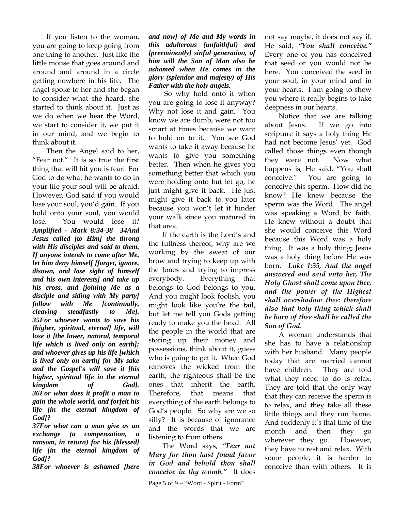If you listen to the woman, you are going to keep going from one thing to another. Just like the little mouse that goes around and around and around in a circle getting nowhere in his life. The angel spoke to her and she began to consider what she heard, she started to think about it. Just as we do when we hear the Word, we start to consider it, we put it in our mind, and we begin to think about it.

Then the Angel said to her, "Fear not." It is so true the first thing that will hit you is fear. For God to do what he wants to do in your life your soul will be afraid. However, God said if you would lose your soul, you"d gain. If you hold onto your soul, you would lose. You would lose it*! Amplified - Mark 8:34-38 34And Jesus called [to Him] the throng with His disciples and said to them, If anyone intends to come after Me, let him deny himself [forget, ignore, disown, and lose sight of himself and his own interests] and take up his cross, and [joining Me as a disciple and siding with My party] follow with Me [continually, cleaving steadfastly to Me]. 35For whoever wants to save his [higher, spiritual, eternal] life, will lose it [the lower, natural, temporal life which is lived only on earth]; and whoever gives up his life [which is lived only on earth] for My sake and the Gospel's will save it [his higher, spiritual life in the eternal kingdom of God]. 36For what does it profit a man to gain the whole world, and forfeit his life [in the eternal kingdom of God]?*

*37For what can a man give as an exchange (a compensation, ransom, in return) for his [blessed] life [in the eternal kingdom of God]?*

*38For whoever is ashamed [here*

*and now] of Me and My words in this adulterous (unfaithful) and [preeminently] sinful generation, of him will the Son of Man also be ashamed when He comes in the glory (splendor and majesty) of His Father with the holy angels.*

So why hold onto it when you are going to lose it anyway? Why not lose it and gain. You know we are dumb, were not too smart at times because we want to hold on to it. You see God wants to take it away because he wants to give you something better. Then when he gives you something better that which you were holding onto but let go, he just might give it back. He just might give it back to you later because you won"t let it hinder your walk since you matured in that area.

If the earth is the Lord's and the fullness thereof, why are we working by the sweat of our brow and trying to keep up with the Jones and trying to impress everybody. Everything that belongs to God belongs to you. And you might look foolish, you might look like you"re the tail, but let me tell you Gods getting ready to make you the head. All the people in the world that are storing up their money and possessions, think about it, guess who is going to get it. When God removes the wicked from the earth, the righteous shall be the ones that inherit the earth. Therefore, that means that everything of the earth belongs to God"s people. So why are we so silly? It is because of ignorance and the words that we are listening to from others.

The Word says, *"Fear not Mary for thou hast found favor in God and behold thou shall conceive in thy womb."* It does

Page 5 of 9 – "Word - Spirit - Form"

not say maybe, it does not say if. He said, *"You shall conceive."* Every one of you has conceived that seed or you would not be here. You conceived the seed in your soul, in your mind and in your hearts. I am going to show you where it really begins to take deepness in our hearts.

Notice that we are talking about Jesus. If we go into scripture it says a holy thing He had not become Jesus" yet. God called those things even though they were not. Now what happens is, He said, "You shall conceive." You are going to conceive this sperm. How did he know? He knew because the sperm was the Word. The angel was speaking a Word by faith. He knew without a doubt that she would conceive this Word because this Word was a holy thing. It was a holy thing; Jesus was a holy thing before He was born. *Luke 1:35, And the angel answered and said unto her, The Holy Ghost shall come upon thee, and the power of the Highest shall overshadow thee: therefore also that holy thing which shall be born of thee shall be called the Son of God*.

A woman understands that she has to have a relationship with her husband. Many people today that are married cannot have children. They are told what they need to do is relax. They are told that the only way that they can receive the sperm is to relax, and they take all these little things and they run home. And suddenly it's that time of the month and then they go wherever they go. However, they have to rest and relax. With some people, it is harder to conceive than with others. It is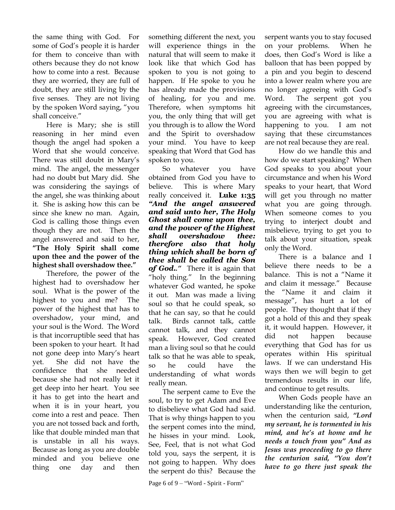the same thing with God. For some of God"s people it is harder for them to conceive than with others because they do not know how to come into a rest. Because they are worried, they are full of doubt, they are still living by the five senses. They are not living by the spoken Word saying, "you shall conceive."

Here is Mary; she is still reasoning in her mind even though the angel had spoken a Word that she would conceive. There was still doubt in Mary's mind. The angel, the messenger had no doubt but Mary did. She was considering the sayings of the angel, she was thinking about it. She is asking how this can be since she knew no man. Again, God is calling those things even though they are not. Then the angel answered and said to her, **"The Holy Spirit shall come upon thee and the power of the highest shall overshadow thee."**

Therefore, the power of the highest had to overshadow her soul. What is the power of the highest to you and me? The power of the highest that has to overshadow, your mind, and your soul is the Word. The Word is that incorruptible seed that has been spoken to your heart. It had not gone deep into Mary"s heart yet. She did not have the confidence that she needed because she had not really let it get deep into her heart. You see it has to get into the heart and when it is in your heart, you come into a rest and peace. Then you are not tossed back and forth, like that double minded man that is unstable in all his ways. Because as long as you are double minded and you believe one thing one day and then

something different the next, you will experience things in the natural that will seem to make it look like that which God has spoken to you is not going to happen. If He spoke to you he has already made the provisions of healing, for you and me. Therefore, when symptoms hit you, the only thing that will get you through is to allow the Word and the Spirit to overshadow your mind. You have to keep speaking that Word that God has spoken to you.

So whatever you have obtained from God you have to believe. This is where Mary really conceived it. **Luke 1:35** *"And the angel answered and said unto her, The Holy Ghost shall come upon thee, and the power of the Highest shall overshadow thee: therefore also that holy thing which shall be born of thee shall be called the Son of God.."* There it is again that "holy thing." In the beginning whatever God wanted, he spoke it out. Man was made a living soul so that he could speak, so that he can say, so that he could talk. Birds cannot talk, cattle cannot talk, and they cannot speak. However, God created man a living soul so that he could talk so that he was able to speak, so he could have the understanding of what words really mean.

The serpent came to Eve the soul, to try to get Adam and Eve to disbelieve what God had said. That is why things happen to you the serpent comes into the mind, he hisses in your mind. Look, See, Feel, that is not what God told you, says the serpent, it is not going to happen. Why does the serpent do this? Because the serpent wants you to stay focused on your problems. When he does, then God"s Word is like a balloon that has been popped by a pin and you begin to descend into a lower realm where you are no longer agreeing with God"s Word. The serpent got you agreeing with the circumstances, you are agreeing with what is happening to you. I am not saying that these circumstances are not real because they are real.

How do we handle this and how do we start speaking? When God speaks to you about your circumstance and when his Word speaks to your heart, that Word will get you through no matter what you are going through. When someone comes to you trying to interject doubt and misbelieve, trying to get you to talk about your situation, speak only the Word.

There is a balance and I believe there needs to be a balance. This is not a "Name it and claim it message." Because the "Name it and claim it message", has hurt a lot of people. They thought that if they got a hold of this and they speak it, it would happen. However, it did not happen because everything that God has for us operates within His spiritual laws. If we can understand His ways then we will begin to get tremendous results in our life, and continue to get results.

When Gods people have an understanding like the centurion, when the centurion said, *"Lord my servant, he is tormented in his mind, and he's at home and he needs a touch from you" And as Jesus was proceeding to go there the centurion said, "You don't have to go there just speak the*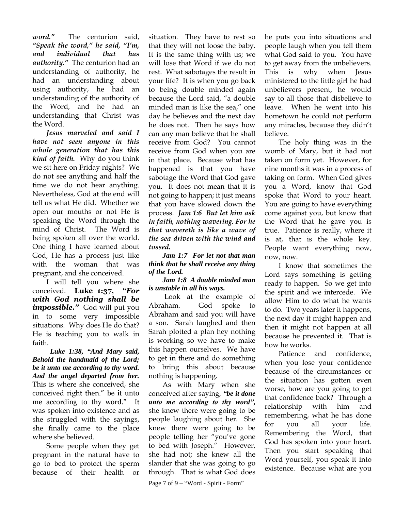*word."* The centurion said, *"Speak the word," he said, "I'm, and individual that has authority."* The centurion had an understanding of authority, he had an understanding about using authority, he had an understanding of the authority of the Word, and he had an understanding that Christ was the Word.

*Jesus marveled and said I have not seen anyone in this whole generation that has this kind of faith.* Why do you think we sit here on Friday nights? We do not see anything and half the time we do not hear anything. Nevertheless, God at the end will tell us what He did. Whether we open our mouths or not He is speaking the Word through the mind of Christ. The Word is being spoken all over the world. One thing I have learned about God, He has a process just like with the woman that was pregnant, and she conceived.

I will tell you where she conceived. **Luke 1:37, "***For with God nothing shall be impossible."* God will put you in to some very impossible situations. Why does He do that? He is teaching you to walk in faith.

 *Luke 1:38, "And Mary said, Behold the handmaid of the Lord; be it unto me according to thy word. And the angel departed from her.*  This is where she conceived, she conceived right then." be it unto me according to thy word." It was spoken into existence and as she struggled with the sayings, she finally came to the place where she believed.

Some people when they get pregnant in the natural have to go to bed to protect the sperm because of their health or

situation. They have to rest so that they will not loose the baby. It is the same thing with us; we will lose that Word if we do not rest. What sabotages the result in your life? It is when you go back to being double minded again because the Lord said, "a double minded man is like the sea," one day he believes and the next day he does not. Then he says how can any man believe that he shall receive from God? You cannot receive from God when you are in that place. Because what has happened is that you have sabotage the Word that God gave you. It does not mean that it is not going to happen; it just means that you have slowed down the process. *Jam 1:6 But let him ask in faith, nothing wavering. For he that wavereth is like a wave of the sea driven with the wind and tossed.* 

*Jam 1:7 For let not that man think that he shall receive any thing of the Lord.* 

*Jam 1:8 A double minded man is unstable in all his ways.* 

Look at the example of Abraham. God spoke to Abraham and said you will have a son. Sarah laughed and then Sarah plotted a plan hey nothing is working so we have to make this happen ourselves. We have to get in there and do something to bring this about because nothing is happening.

As with Mary when she conceived after saying, *"be it done unto me according to thy word",* she knew there were going to be people laughing about her. She knew there were going to be people telling her "you"ve gone to bed with Joseph." However, she had not; she knew all the slander that she was going to go through. That is what God does

Page 7 of 9 – "Word - Spirit - Form"

he puts you into situations and people laugh when you tell them what God said to you. You have to get away from the unbelievers. This is why when Jesus ministered to the little girl he had unbelievers present, he would say to all those that disbelieve to leave. When he went into his hometown he could not perform any miracles, because they didn"t believe.

The holy thing was in the womb of Mary, but it had not taken on form yet. However, for nine months it was in a process of taking on form. When God gives you a Word, know that God spoke that Word to your heart. You are going to have everything come against you, but know that the Word that he gave you is true. Patience is really, where it is at, that is the whole key. People want everything now, now, now.

I know that sometimes the Lord says something is getting ready to happen. So we get into the spirit and we intercede. We allow Him to do what he wants to do. Two years later it happens, the next day it might happen and then it might not happen at all because he prevented it. That is how he works.

Patience and confidence, when you lose your confidence because of the circumstances or the situation has gotten even worse, how are you going to get that confidence back? Through a relationship with him and remembering, what he has done for you all your life. Remembering the Word, that God has spoken into your heart. Then you start speaking that Word yourself, you speak it into existence. Because what are you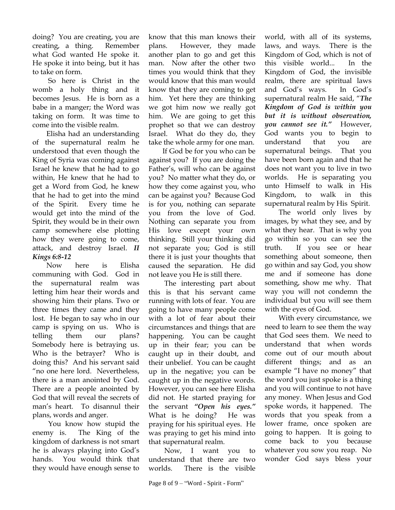doing? You are creating, you are creating, a thing. Remember what God wanted He spoke it. He spoke it into being, but it has to take on form.

So here is Christ in the womb a holy thing and it becomes Jesus. He is born as a babe in a manger; the Word was taking on form. It was time to come into the visible realm.

Elisha had an understanding of the supernatural realm he understood that even though the King of Syria was coming against Israel he knew that he had to go within, He knew that he had to get a Word from God, he knew that he had to get into the mind of the Spirit. Every time he would get into the mind of the Spirit, they would be in their own camp somewhere else plotting how they were going to come, attack, and destroy Israel. *II Kings 6:8-12*

Now here is Elisha communing with God. God in the supernatural realm was letting him hear their words and showing him their plans. Two or three times they came and they lost. He began to say who in our camp is spying on us. Who is telling them our plans? Somebody here is betraying us. Who is the betrayer? Who is doing this? And his servant said "no one here lord. Nevertheless, there is a man anointed by God. There are a people anointed by God that will reveal the secrets of man"s heart. To disannul their plans, words and anger.

You know how stupid the enemy is. The King of the kingdom of darkness is not smart he is always playing into God"s hands. You would think that they would have enough sense to know that this man knows their plans. However, they made another plan to go and get this man. Now after the other two times you would think that they would know that this man would know that they are coming to get him. Yet here they are thinking we got him now we really got him. We are going to get this prophet so that we can destroy Israel. What do they do, they take the whole army for one man.

If God be for you who can be against you? If you are doing the Father's, will who can be against you? No matter what they do, or how they come against you, who can be against you? Because God is for you, nothing can separate you from the love of God. Nothing can separate you from His love except your own thinking. Still your thinking did not separate you; God is still there it is just your thoughts that caused the separation. He did not leave you He is still there.

The interesting part about this is that his servant came running with lots of fear. You are going to have many people come with a lot of fear about their circumstances and things that are happening. You can be caught up in their fear; you can be caught up in their doubt, and their unbelief. You can be caught up in the negative; you can be caught up in the negative words. However, you can see here Elisha did not. He started praying for the servant *"Open his eyes."* What is he doing? He was praying for his spiritual eyes. He was praying to get his mind into that supernatural realm.

Now, I want you to understand that there are two worlds. There is the visible

world, with all of its systems, laws, and ways. There is the Kingdom of God, which is not of this visible world... In the Kingdom of God, the invisible realm, there are spiritual laws and God"s ways. In God"s supernatural realm He said, "*The Kingdom of God is within you but it is without observation, you cannot see it."* However, God wants you to begin to understand that you are supernatural beings. That you have been born again and that he does not want you to live in two worlds. He is separating you unto Himself to walk in His Kingdom, to walk in this supernatural realm by His Spirit.

The world only lives by images, by what they see, and by what they hear. That is why you go within so you can see the truth. If you see or hear something about someone, then go within and say God, you show me and if someone has done something, show me why. That way you will not condemn the individual but you will see them with the eyes of God.

With every circumstance, we need to learn to see them the way that God sees them. We need to understand that when words come out of our mouth about different things; and as an example "I have no money" that the word you just spoke is a thing and you will continue to not have any money. When Jesus and God spoke words, it happened. The words that you speak from a lower frame, once spoken are going to happen. It is going to come back to you because whatever you sow you reap. No wonder God says bless your